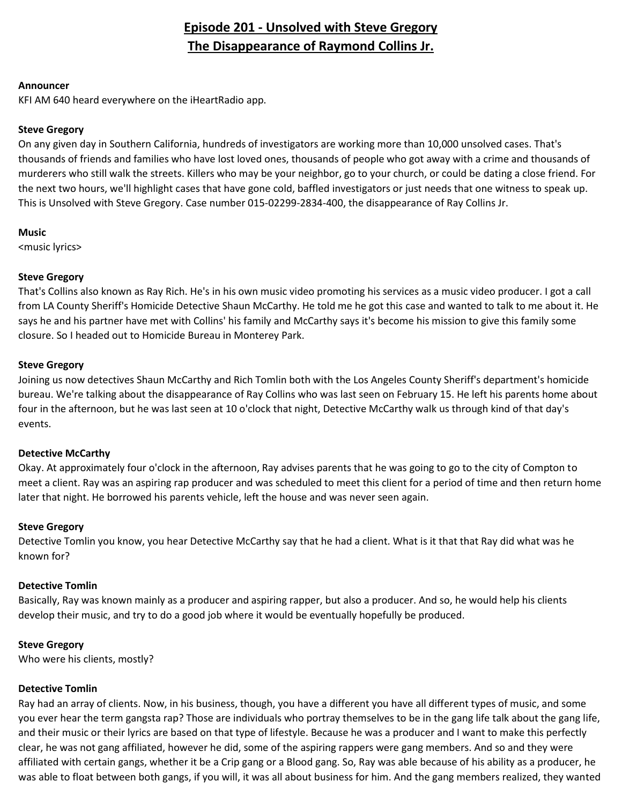## **Episode 201 - Unsolved with Steve Gregory The Disappearance of Raymond Collins Jr.**

#### **Announcer**

KFI AM 640 heard everywhere on the iHeartRadio app.

## **Steve Gregory**

On any given day in Southern California, hundreds of investigators are working more than 10,000 unsolved cases. That's thousands of friends and families who have lost loved ones, thousands of people who got away with a crime and thousands of murderers who still walk the streets. Killers who may be your neighbor, go to your church, or could be dating a close friend. For the next two hours, we'll highlight cases that have gone cold, baffled investigators or just needs that one witness to speak up. This is Unsolved with Steve Gregory. Case number 015-02299-2834-400, the disappearance of Ray Collins Jr.

## **Music**

<music lyrics>

## **Steve Gregory**

That's Collins also known as Ray Rich. He's in his own music video promoting his services as a music video producer. I got a call from LA County Sheriff's Homicide Detective Shaun McCarthy. He told me he got this case and wanted to talk to me about it. He says he and his partner have met with Collins' his family and McCarthy says it's become his mission to give this family some closure. So I headed out to Homicide Bureau in Monterey Park.

## **Steve Gregory**

Joining us now detectives Shaun McCarthy and Rich Tomlin both with the Los Angeles County Sheriff's department's homicide bureau. We're talking about the disappearance of Ray Collins who was last seen on February 15. He left his parents home about four in the afternoon, but he was last seen at 10 o'clock that night, Detective McCarthy walk us through kind of that day's events.

#### **Detective McCarthy**

Okay. At approximately four o'clock in the afternoon, Ray advises parents that he was going to go to the city of Compton to meet a client. Ray was an aspiring rap producer and was scheduled to meet this client for a period of time and then return home later that night. He borrowed his parents vehicle, left the house and was never seen again.

#### **Steve Gregory**

Detective Tomlin you know, you hear Detective McCarthy say that he had a client. What is it that that Ray did what was he known for?

## **Detective Tomlin**

Basically, Ray was known mainly as a producer and aspiring rapper, but also a producer. And so, he would help his clients develop their music, and try to do a good job where it would be eventually hopefully be produced.

## **Steve Gregory**

Who were his clients, mostly?

#### **Detective Tomlin**

Ray had an array of clients. Now, in his business, though, you have a different you have all different types of music, and some you ever hear the term gangsta rap? Those are individuals who portray themselves to be in the gang life talk about the gang life, and their music or their lyrics are based on that type of lifestyle. Because he was a producer and I want to make this perfectly clear, he was not gang affiliated, however he did, some of the aspiring rappers were gang members. And so and they were affiliated with certain gangs, whether it be a Crip gang or a Blood gang. So, Ray was able because of his ability as a producer, he was able to float between both gangs, if you will, it was all about business for him. And the gang members realized, they wanted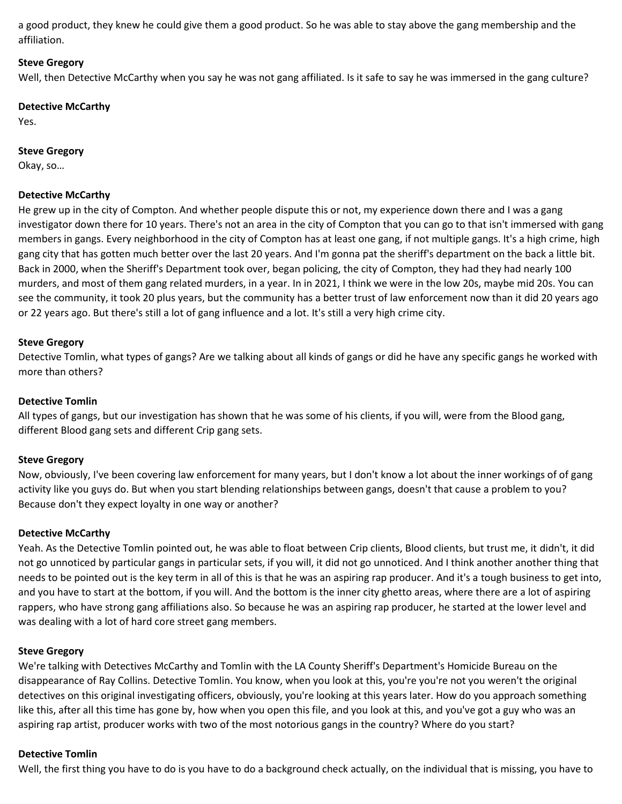a good product, they knew he could give them a good product. So he was able to stay above the gang membership and the affiliation.

#### **Steve Gregory**

Well, then Detective McCarthy when you say he was not gang affiliated. Is it safe to say he was immersed in the gang culture?

#### **Detective McCarthy**

Yes.

#### **Steve Gregory**

Okay, so…

#### **Detective McCarthy**

He grew up in the city of Compton. And whether people dispute this or not, my experience down there and I was a gang investigator down there for 10 years. There's not an area in the city of Compton that you can go to that isn't immersed with gang members in gangs. Every neighborhood in the city of Compton has at least one gang, if not multiple gangs. It's a high crime, high gang city that has gotten much better over the last 20 years. And I'm gonna pat the sheriff's department on the back a little bit. Back in 2000, when the Sheriff's Department took over, began policing, the city of Compton, they had they had nearly 100 murders, and most of them gang related murders, in a year. In in 2021, I think we were in the low 20s, maybe mid 20s. You can see the community, it took 20 plus years, but the community has a better trust of law enforcement now than it did 20 years ago or 22 years ago. But there's still a lot of gang influence and a lot. It's still a very high crime city.

#### **Steve Gregory**

Detective Tomlin, what types of gangs? Are we talking about all kinds of gangs or did he have any specific gangs he worked with more than others?

#### **Detective Tomlin**

All types of gangs, but our investigation has shown that he was some of his clients, if you will, were from the Blood gang, different Blood gang sets and different Crip gang sets.

#### **Steve Gregory**

Now, obviously, I've been covering law enforcement for many years, but I don't know a lot about the inner workings of of gang activity like you guys do. But when you start blending relationships between gangs, doesn't that cause a problem to you? Because don't they expect loyalty in one way or another?

#### **Detective McCarthy**

Yeah. As the Detective Tomlin pointed out, he was able to float between Crip clients, Blood clients, but trust me, it didn't, it did not go unnoticed by particular gangs in particular sets, if you will, it did not go unnoticed. And I think another another thing that needs to be pointed out is the key term in all of this is that he was an aspiring rap producer. And it's a tough business to get into, and you have to start at the bottom, if you will. And the bottom is the inner city ghetto areas, where there are a lot of aspiring rappers, who have strong gang affiliations also. So because he was an aspiring rap producer, he started at the lower level and was dealing with a lot of hard core street gang members.

#### **Steve Gregory**

We're talking with Detectives McCarthy and Tomlin with the LA County Sheriff's Department's Homicide Bureau on the disappearance of Ray Collins. Detective Tomlin. You know, when you look at this, you're you're not you weren't the original detectives on this original investigating officers, obviously, you're looking at this years later. How do you approach something like this, after all this time has gone by, how when you open this file, and you look at this, and you've got a guy who was an aspiring rap artist, producer works with two of the most notorious gangs in the country? Where do you start?

#### **Detective Tomlin**

Well, the first thing you have to do is you have to do a background check actually, on the individual that is missing, you have to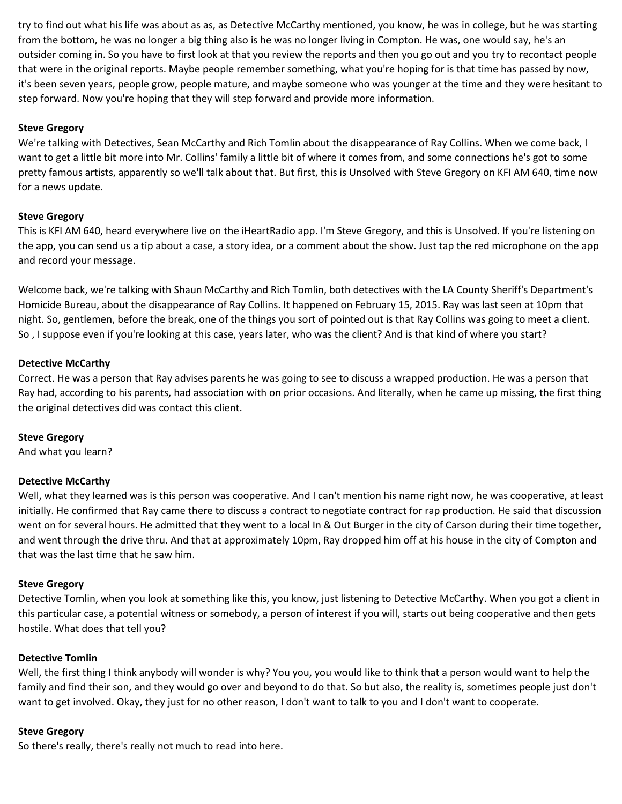try to find out what his life was about as as, as Detective McCarthy mentioned, you know, he was in college, but he was starting from the bottom, he was no longer a big thing also is he was no longer living in Compton. He was, one would say, he's an outsider coming in. So you have to first look at that you review the reports and then you go out and you try to recontact people that were in the original reports. Maybe people remember something, what you're hoping for is that time has passed by now, it's been seven years, people grow, people mature, and maybe someone who was younger at the time and they were hesitant to step forward. Now you're hoping that they will step forward and provide more information.

## **Steve Gregory**

We're talking with Detectives, Sean McCarthy and Rich Tomlin about the disappearance of Ray Collins. When we come back, I want to get a little bit more into Mr. Collins' family a little bit of where it comes from, and some connections he's got to some pretty famous artists, apparently so we'll talk about that. But first, this is Unsolved with Steve Gregory on KFI AM 640, time now for a news update.

#### **Steve Gregory**

This is KFI AM 640, heard everywhere live on the iHeartRadio app. I'm Steve Gregory, and this is Unsolved. If you're listening on the app, you can send us a tip about a case, a story idea, or a comment about the show. Just tap the red microphone on the app and record your message.

Welcome back, we're talking with Shaun McCarthy and Rich Tomlin, both detectives with the LA County Sheriff's Department's Homicide Bureau, about the disappearance of Ray Collins. It happened on February 15, 2015. Ray was last seen at 10pm that night. So, gentlemen, before the break, one of the things you sort of pointed out is that Ray Collins was going to meet a client. So , I suppose even if you're looking at this case, years later, who was the client? And is that kind of where you start?

## **Detective McCarthy**

Correct. He was a person that Ray advises parents he was going to see to discuss a wrapped production. He was a person that Ray had, according to his parents, had association with on prior occasions. And literally, when he came up missing, the first thing the original detectives did was contact this client.

#### **Steve Gregory**

And what you learn?

#### **Detective McCarthy**

Well, what they learned was is this person was cooperative. And I can't mention his name right now, he was cooperative, at least initially. He confirmed that Ray came there to discuss a contract to negotiate contract for rap production. He said that discussion went on for several hours. He admitted that they went to a local In & Out Burger in the city of Carson during their time together, and went through the drive thru. And that at approximately 10pm, Ray dropped him off at his house in the city of Compton and that was the last time that he saw him.

#### **Steve Gregory**

Detective Tomlin, when you look at something like this, you know, just listening to Detective McCarthy. When you got a client in this particular case, a potential witness or somebody, a person of interest if you will, starts out being cooperative and then gets hostile. What does that tell you?

#### **Detective Tomlin**

Well, the first thing I think anybody will wonder is why? You you, you would like to think that a person would want to help the family and find their son, and they would go over and beyond to do that. So but also, the reality is, sometimes people just don't want to get involved. Okay, they just for no other reason, I don't want to talk to you and I don't want to cooperate.

#### **Steve Gregory**

So there's really, there's really not much to read into here.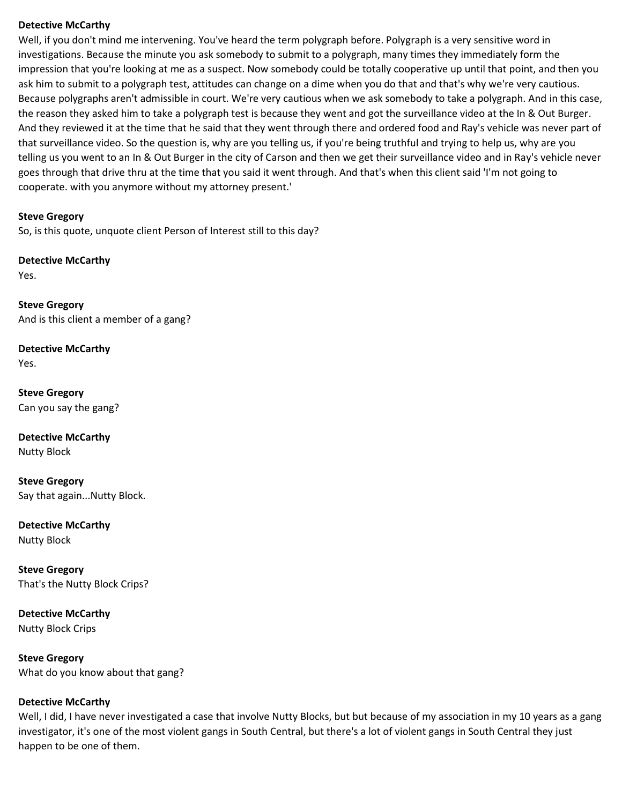#### **Detective McCarthy**

Well, if you don't mind me intervening. You've heard the term polygraph before. Polygraph is a very sensitive word in investigations. Because the minute you ask somebody to submit to a polygraph, many times they immediately form the impression that you're looking at me as a suspect. Now somebody could be totally cooperative up until that point, and then you ask him to submit to a polygraph test, attitudes can change on a dime when you do that and that's why we're very cautious. Because polygraphs aren't admissible in court. We're very cautious when we ask somebody to take a polygraph. And in this case, the reason they asked him to take a polygraph test is because they went and got the surveillance video at the In & Out Burger. And they reviewed it at the time that he said that they went through there and ordered food and Ray's vehicle was never part of that surveillance video. So the question is, why are you telling us, if you're being truthful and trying to help us, why are you telling us you went to an In & Out Burger in the city of Carson and then we get their surveillance video and in Ray's vehicle never goes through that drive thru at the time that you said it went through. And that's when this client said 'I'm not going to cooperate. with you anymore without my attorney present.'

#### **Steve Gregory**

So, is this quote, unquote client Person of Interest still to this day?

**Detective McCarthy**

Yes.

**Steve Gregory** And is this client a member of a gang?

**Detective McCarthy** Yes.

**Steve Gregory** Can you say the gang?

**Detective McCarthy**

Nutty Block

**Steve Gregory** Say that again...Nutty Block.

**Detective McCarthy** Nutty Block

**Steve Gregory** That's the Nutty Block Crips?

**Detective McCarthy** Nutty Block Crips

**Steve Gregory** What do you know about that gang?

#### **Detective McCarthy**

Well, I did, I have never investigated a case that involve Nutty Blocks, but but because of my association in my 10 years as a gang investigator, it's one of the most violent gangs in South Central, but there's a lot of violent gangs in South Central they just happen to be one of them.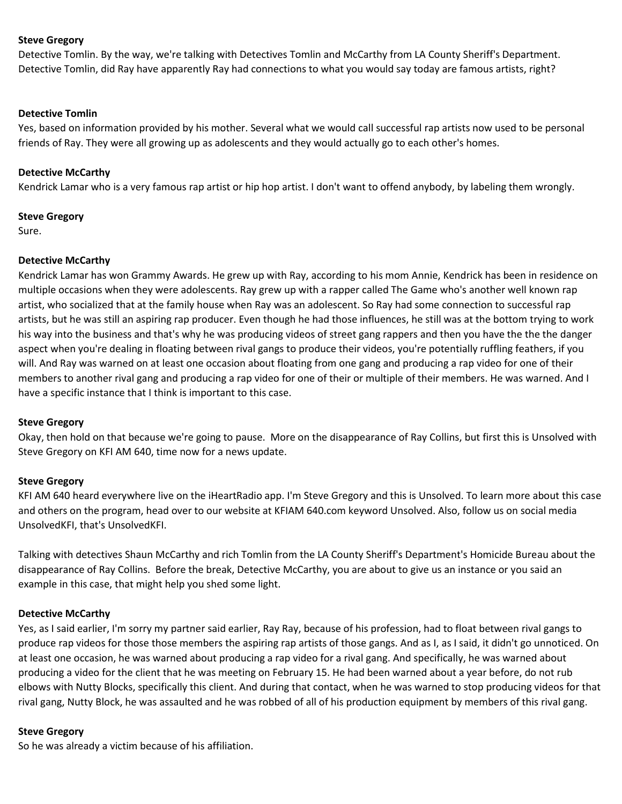Detective Tomlin. By the way, we're talking with Detectives Tomlin and McCarthy from LA County Sheriff's Department. Detective Tomlin, did Ray have apparently Ray had connections to what you would say today are famous artists, right?

#### **Detective Tomlin**

Yes, based on information provided by his mother. Several what we would call successful rap artists now used to be personal friends of Ray. They were all growing up as adolescents and they would actually go to each other's homes.

#### **Detective McCarthy**

Kendrick Lamar who is a very famous rap artist or hip hop artist. I don't want to offend anybody, by labeling them wrongly.

#### **Steve Gregory**

Sure.

#### **Detective McCarthy**

Kendrick Lamar has won Grammy Awards. He grew up with Ray, according to his mom Annie, Kendrick has been in residence on multiple occasions when they were adolescents. Ray grew up with a rapper called The Game who's another well known rap artist, who socialized that at the family house when Ray was an adolescent. So Ray had some connection to successful rap artists, but he was still an aspiring rap producer. Even though he had those influences, he still was at the bottom trying to work his way into the business and that's why he was producing videos of street gang rappers and then you have the the the danger aspect when you're dealing in floating between rival gangs to produce their videos, you're potentially ruffling feathers, if you will. And Ray was warned on at least one occasion about floating from one gang and producing a rap video for one of their members to another rival gang and producing a rap video for one of their or multiple of their members. He was warned. And I have a specific instance that I think is important to this case.

#### **Steve Gregory**

Okay, then hold on that because we're going to pause. More on the disappearance of Ray Collins, but first this is Unsolved with Steve Gregory on KFI AM 640, time now for a news update.

#### **Steve Gregory**

KFI AM 640 heard everywhere live on the iHeartRadio app. I'm Steve Gregory and this is Unsolved. To learn more about this case and others on the program, head over to our website at KFIAM 640.com keyword Unsolved. Also, follow us on social media UnsolvedKFI, that's UnsolvedKFI.

Talking with detectives Shaun McCarthy and rich Tomlin from the LA County Sheriff's Department's Homicide Bureau about the disappearance of Ray Collins. Before the break, Detective McCarthy, you are about to give us an instance or you said an example in this case, that might help you shed some light.

#### **Detective McCarthy**

Yes, as I said earlier, I'm sorry my partner said earlier, Ray Ray, because of his profession, had to float between rival gangs to produce rap videos for those those members the aspiring rap artists of those gangs. And as I, as I said, it didn't go unnoticed. On at least one occasion, he was warned about producing a rap video for a rival gang. And specifically, he was warned about producing a video for the client that he was meeting on February 15. He had been warned about a year before, do not rub elbows with Nutty Blocks, specifically this client. And during that contact, when he was warned to stop producing videos for that rival gang, Nutty Block, he was assaulted and he was robbed of all of his production equipment by members of this rival gang.

#### **Steve Gregory**

So he was already a victim because of his affiliation.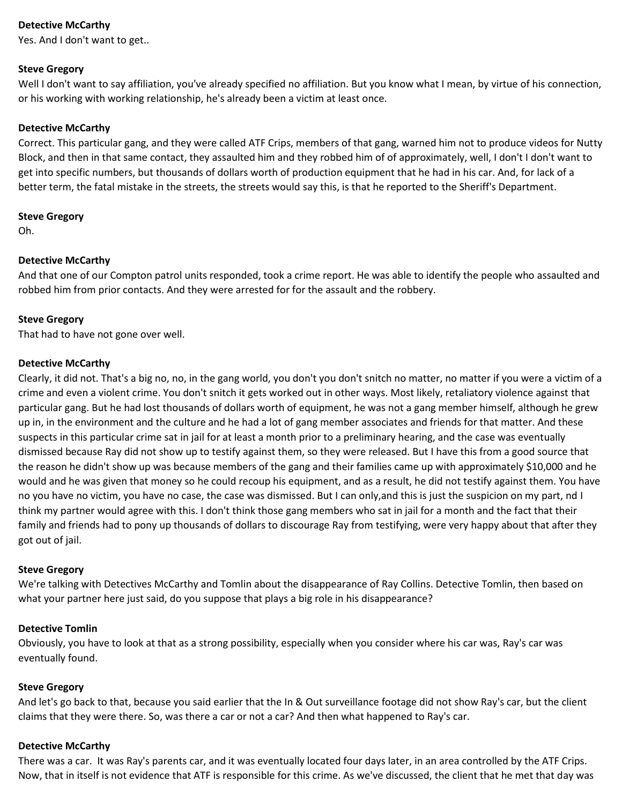## **Detective McCarthy**

Yes. And I don't want to get..

#### **Steve Gregory**

Well I don't want to say affiliation, you've already specified no affiliation. But you know what I mean, by virtue of his connection, or his working with working relationship, he's already been a victim at least once.

#### **Detective McCarthy**

Correct. This particular gang, and they were called ATF Crips, members of that gang, warned him not to produce videos for Nutty Block, and then in that same contact, they assaulted him and they robbed him of of approximately, well, I don't I don't want to get into specific numbers, but thousands of dollars worth of production equipment that he had in his car. And, for lack of a better term, the fatal mistake in the streets, the streets would say this, is that he reported to the Sheriff's Department.

#### **Steve Gregory**

Oh.

#### **Detective McCarthy**

And that one of our Compton patrol units responded, took a crime report. He was able to identify the people who assaulted and robbed him from prior contacts. And they were arrested for for the assault and the robbery.

#### **Steve Gregory**

That had to have not gone over well.

#### **Detective McCarthy**

Clearly, it did not. That's a big no, no, in the gang world, you don't you don't snitch no matter, no matter if you were a victim of a crime and even a violent crime. You don't snitch it gets worked out in other ways. Most likely, retaliatory violence against that particular gang. But he had lost thousands of dollars worth of equipment, he was not a gang member himself, although he grew up in, in the environment and the culture and he had a lot of gang member associates and friends for that matter. And these suspects in this particular crime sat in jail for at least a month prior to a preliminary hearing, and the case was eventually dismissed because Ray did not show up to testify against them, so they were released. But I have this from a good source that the reason he didn't show up was because members of the gang and their families came up with approximately \$10,000 and he would and he was given that money so he could recoup his equipment, and as a result, he did not testify against them. You have no you have no victim, you have no case, the case was dismissed. But I can only,and this is just the suspicion on my part, nd I think my partner would agree with this. I don't think those gang members who sat in jail for a month and the fact that their family and friends had to pony up thousands of dollars to discourage Ray from testifying, were very happy about that after they got out of jail.

#### **Steve Gregory**

We're talking with Detectives McCarthy and Tomlin about the disappearance of Ray Collins. Detective Tomlin, then based on what your partner here just said, do you suppose that plays a big role in his disappearance?

#### **Detective Tomlin**

Obviously, you have to look at that as a strong possibility, especially when you consider where his car was, Ray's car was eventually found.

#### **Steve Gregory**

And let's go back to that, because you said earlier that the In & Out surveillance footage did not show Ray's car, but the client claims that they were there. So, was there a car or not a car? And then what happened to Ray's car.

#### **Detective McCarthy**

There was a car. It was Ray's parents car, and it was eventually located four days later, in an area controlled by the ATF Crips. Now, that in itself is not evidence that ATF is responsible for this crime. As we've discussed, the client that he met that day was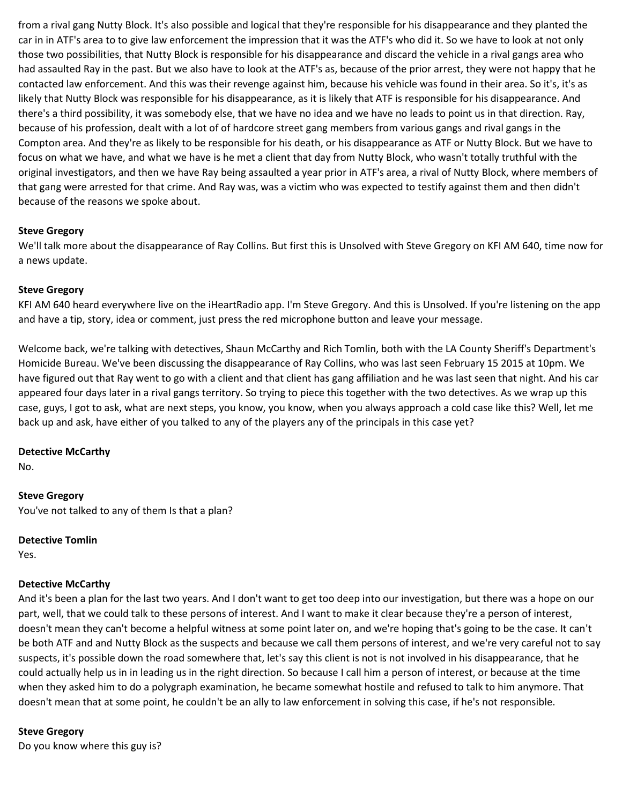from a rival gang Nutty Block. It's also possible and logical that they're responsible for his disappearance and they planted the car in in ATF's area to to give law enforcement the impression that it was the ATF's who did it. So we have to look at not only those two possibilities, that Nutty Block is responsible for his disappearance and discard the vehicle in a rival gangs area who had assaulted Ray in the past. But we also have to look at the ATF's as, because of the prior arrest, they were not happy that he contacted law enforcement. And this was their revenge against him, because his vehicle was found in their area. So it's, it's as likely that Nutty Block was responsible for his disappearance, as it is likely that ATF is responsible for his disappearance. And there's a third possibility, it was somebody else, that we have no idea and we have no leads to point us in that direction. Ray, because of his profession, dealt with a lot of of hardcore street gang members from various gangs and rival gangs in the Compton area. And they're as likely to be responsible for his death, or his disappearance as ATF or Nutty Block. But we have to focus on what we have, and what we have is he met a client that day from Nutty Block, who wasn't totally truthful with the original investigators, and then we have Ray being assaulted a year prior in ATF's area, a rival of Nutty Block, where members of that gang were arrested for that crime. And Ray was, was a victim who was expected to testify against them and then didn't because of the reasons we spoke about.

#### **Steve Gregory**

We'll talk more about the disappearance of Ray Collins. But first this is Unsolved with Steve Gregory on KFI AM 640, time now for a news update.

#### **Steve Gregory**

KFI AM 640 heard everywhere live on the iHeartRadio app. I'm Steve Gregory. And this is Unsolved. If you're listening on the app and have a tip, story, idea or comment, just press the red microphone button and leave your message.

Welcome back, we're talking with detectives, Shaun McCarthy and Rich Tomlin, both with the LA County Sheriff's Department's Homicide Bureau. We've been discussing the disappearance of Ray Collins, who was last seen February 15 2015 at 10pm. We have figured out that Ray went to go with a client and that client has gang affiliation and he was last seen that night. And his car appeared four days later in a rival gangs territory. So trying to piece this together with the two detectives. As we wrap up this case, guys, I got to ask, what are next steps, you know, you know, when you always approach a cold case like this? Well, let me back up and ask, have either of you talked to any of the players any of the principals in this case yet?

#### **Detective McCarthy**

No.

#### **Steve Gregory**

You've not talked to any of them Is that a plan?

#### **Detective Tomlin**

Yes.

#### **Detective McCarthy**

And it's been a plan for the last two years. And I don't want to get too deep into our investigation, but there was a hope on our part, well, that we could talk to these persons of interest. And I want to make it clear because they're a person of interest, doesn't mean they can't become a helpful witness at some point later on, and we're hoping that's going to be the case. It can't be both ATF and and Nutty Block as the suspects and because we call them persons of interest, and we're very careful not to say suspects, it's possible down the road somewhere that, let's say this client is not is not involved in his disappearance, that he could actually help us in in leading us in the right direction. So because I call him a person of interest, or because at the time when they asked him to do a polygraph examination, he became somewhat hostile and refused to talk to him anymore. That doesn't mean that at some point, he couldn't be an ally to law enforcement in solving this case, if he's not responsible.

#### **Steve Gregory**

Do you know where this guy is?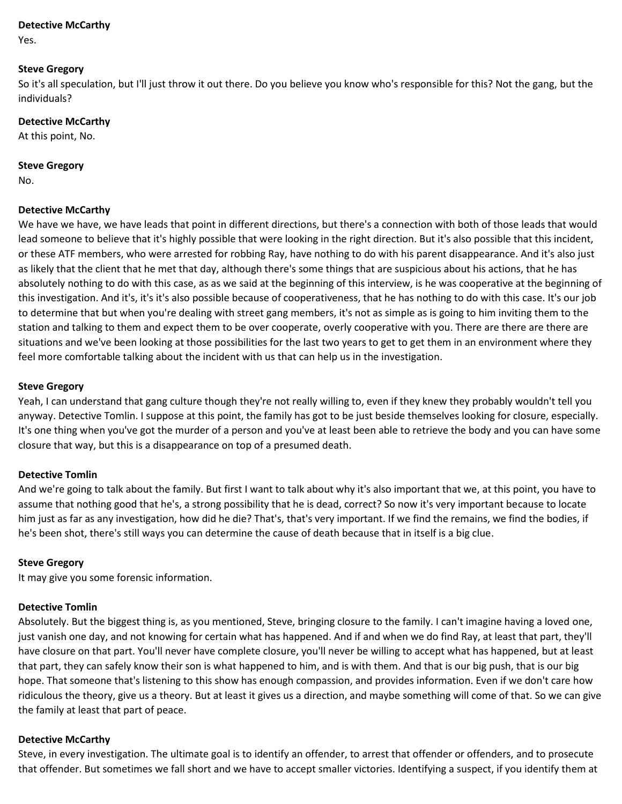#### **Detective McCarthy**

Yes.

#### **Steve Gregory**

So it's all speculation, but I'll just throw it out there. Do you believe you know who's responsible for this? Not the gang, but the individuals?

#### **Detective McCarthy**

At this point, No.

#### **Steve Gregory**

No.

## **Detective McCarthy**

We have we have, we have leads that point in different directions, but there's a connection with both of those leads that would lead someone to believe that it's highly possible that were looking in the right direction. But it's also possible that this incident, or these ATF members, who were arrested for robbing Ray, have nothing to do with his parent disappearance. And it's also just as likely that the client that he met that day, although there's some things that are suspicious about his actions, that he has absolutely nothing to do with this case, as as we said at the beginning of this interview, is he was cooperative at the beginning of this investigation. And it's, it's it's also possible because of cooperativeness, that he has nothing to do with this case. It's our job to determine that but when you're dealing with street gang members, it's not as simple as is going to him inviting them to the station and talking to them and expect them to be over cooperate, overly cooperative with you. There are there are there are situations and we've been looking at those possibilities for the last two years to get to get them in an environment where they feel more comfortable talking about the incident with us that can help us in the investigation.

#### **Steve Gregory**

Yeah, I can understand that gang culture though they're not really willing to, even if they knew they probably wouldn't tell you anyway. Detective Tomlin. I suppose at this point, the family has got to be just beside themselves looking for closure, especially. It's one thing when you've got the murder of a person and you've at least been able to retrieve the body and you can have some closure that way, but this is a disappearance on top of a presumed death.

#### **Detective Tomlin**

And we're going to talk about the family. But first I want to talk about why it's also important that we, at this point, you have to assume that nothing good that he's, a strong possibility that he is dead, correct? So now it's very important because to locate him just as far as any investigation, how did he die? That's, that's very important. If we find the remains, we find the bodies, if he's been shot, there's still ways you can determine the cause of death because that in itself is a big clue.

#### **Steve Gregory**

It may give you some forensic information.

#### **Detective Tomlin**

Absolutely. But the biggest thing is, as you mentioned, Steve, bringing closure to the family. I can't imagine having a loved one, just vanish one day, and not knowing for certain what has happened. And if and when we do find Ray, at least that part, they'll have closure on that part. You'll never have complete closure, you'll never be willing to accept what has happened, but at least that part, they can safely know their son is what happened to him, and is with them. And that is our big push, that is our big hope. That someone that's listening to this show has enough compassion, and provides information. Even if we don't care how ridiculous the theory, give us a theory. But at least it gives us a direction, and maybe something will come of that. So we can give the family at least that part of peace.

#### **Detective McCarthy**

Steve, in every investigation. The ultimate goal is to identify an offender, to arrest that offender or offenders, and to prosecute that offender. But sometimes we fall short and we have to accept smaller victories. Identifying a suspect, if you identify them at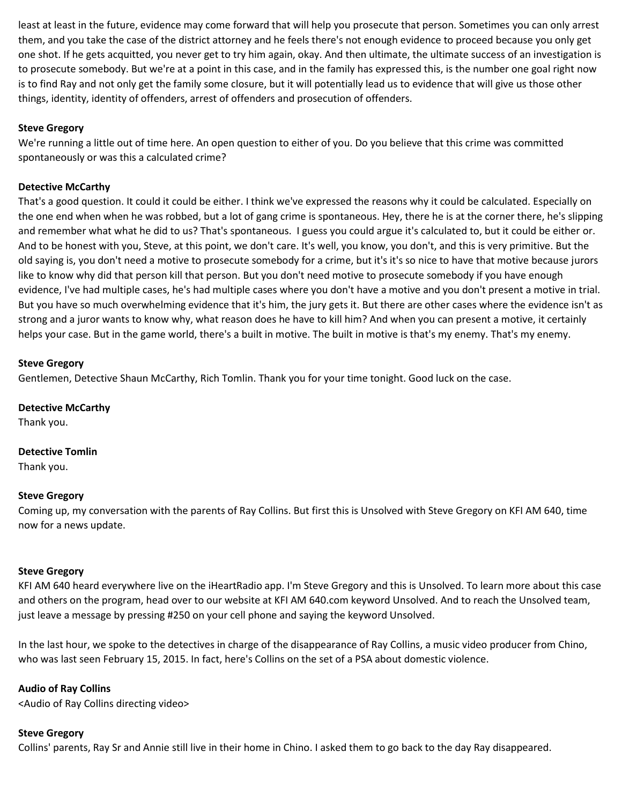least at least in the future, evidence may come forward that will help you prosecute that person. Sometimes you can only arrest them, and you take the case of the district attorney and he feels there's not enough evidence to proceed because you only get one shot. If he gets acquitted, you never get to try him again, okay. And then ultimate, the ultimate success of an investigation is to prosecute somebody. But we're at a point in this case, and in the family has expressed this, is the number one goal right now is to find Ray and not only get the family some closure, but it will potentially lead us to evidence that will give us those other things, identity, identity of offenders, arrest of offenders and prosecution of offenders.

## **Steve Gregory**

We're running a little out of time here. An open question to either of you. Do you believe that this crime was committed spontaneously or was this a calculated crime?

## **Detective McCarthy**

That's a good question. It could it could be either. I think we've expressed the reasons why it could be calculated. Especially on the one end when when he was robbed, but a lot of gang crime is spontaneous. Hey, there he is at the corner there, he's slipping and remember what what he did to us? That's spontaneous. I guess you could argue it's calculated to, but it could be either or. And to be honest with you, Steve, at this point, we don't care. It's well, you know, you don't, and this is very primitive. But the old saying is, you don't need a motive to prosecute somebody for a crime, but it's it's so nice to have that motive because jurors like to know why did that person kill that person. But you don't need motive to prosecute somebody if you have enough evidence, I've had multiple cases, he's had multiple cases where you don't have a motive and you don't present a motive in trial. But you have so much overwhelming evidence that it's him, the jury gets it. But there are other cases where the evidence isn't as strong and a juror wants to know why, what reason does he have to kill him? And when you can present a motive, it certainly helps your case. But in the game world, there's a built in motive. The built in motive is that's my enemy. That's my enemy.

#### **Steve Gregory**

Gentlemen, Detective Shaun McCarthy, Rich Tomlin. Thank you for your time tonight. Good luck on the case.

## **Detective McCarthy**

Thank you.

#### **Detective Tomlin**

Thank you.

#### **Steve Gregory**

Coming up, my conversation with the parents of Ray Collins. But first this is Unsolved with Steve Gregory on KFI AM 640, time now for a news update.

#### **Steve Gregory**

KFI AM 640 heard everywhere live on the iHeartRadio app. I'm Steve Gregory and this is Unsolved. To learn more about this case and others on the program, head over to our website at KFI AM 640.com keyword Unsolved. And to reach the Unsolved team, just leave a message by pressing #250 on your cell phone and saying the keyword Unsolved.

In the last hour, we spoke to the detectives in charge of the disappearance of Ray Collins, a music video producer from Chino, who was last seen February 15, 2015. In fact, here's Collins on the set of a PSA about domestic violence.

#### **Audio of Ray Collins**

<Audio of Ray Collins directing video>

#### **Steve Gregory**

Collins' parents, Ray Sr and Annie still live in their home in Chino. I asked them to go back to the day Ray disappeared.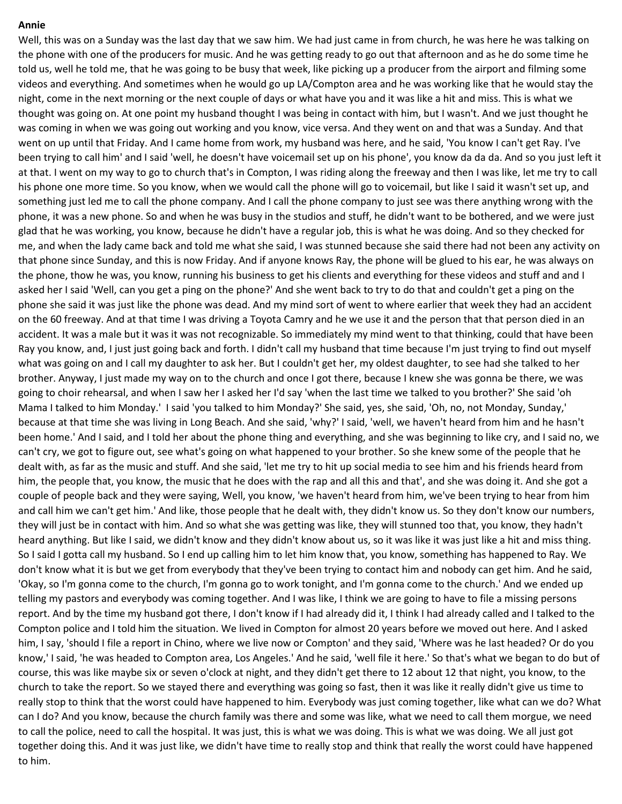#### **Annie**

Well, this was on a Sunday was the last day that we saw him. We had just came in from church, he was here he was talking on the phone with one of the producers for music. And he was getting ready to go out that afternoon and as he do some time he told us, well he told me, that he was going to be busy that week, like picking up a producer from the airport and filming some videos and everything. And sometimes when he would go up LA/Compton area and he was working like that he would stay the night, come in the next morning or the next couple of days or what have you and it was like a hit and miss. This is what we thought was going on. At one point my husband thought I was being in contact with him, but I wasn't. And we just thought he was coming in when we was going out working and you know, vice versa. And they went on and that was a Sunday. And that went on up until that Friday. And I came home from work, my husband was here, and he said, 'You know I can't get Ray. I've been trying to call him' and I said 'well, he doesn't have voicemail set up on his phone', you know da da da. And so you just left it at that. I went on my way to go to church that's in Compton, I was riding along the freeway and then I was like, let me try to call his phone one more time. So you know, when we would call the phone will go to voicemail, but like I said it wasn't set up, and something just led me to call the phone company. And I call the phone company to just see was there anything wrong with the phone, it was a new phone. So and when he was busy in the studios and stuff, he didn't want to be bothered, and we were just glad that he was working, you know, because he didn't have a regular job, this is what he was doing. And so they checked for me, and when the lady came back and told me what she said, I was stunned because she said there had not been any activity on that phone since Sunday, and this is now Friday. And if anyone knows Ray, the phone will be glued to his ear, he was always on the phone, thow he was, you know, running his business to get his clients and everything for these videos and stuff and and I asked her I said 'Well, can you get a ping on the phone?' And she went back to try to do that and couldn't get a ping on the phone she said it was just like the phone was dead. And my mind sort of went to where earlier that week they had an accident on the 60 freeway. And at that time I was driving a Toyota Camry and he we use it and the person that that person died in an accident. It was a male but it was it was not recognizable. So immediately my mind went to that thinking, could that have been Ray you know, and, I just just going back and forth. I didn't call my husband that time because I'm just trying to find out myself what was going on and I call my daughter to ask her. But I couldn't get her, my oldest daughter, to see had she talked to her brother. Anyway, I just made my way on to the church and once I got there, because I knew she was gonna be there, we was going to choir rehearsal, and when I saw her I asked her I'd say 'when the last time we talked to you brother?' She said 'oh Mama I talked to him Monday.' I said 'you talked to him Monday?' She said, yes, she said, 'Oh, no, not Monday, Sunday,' because at that time she was living in Long Beach. And she said, 'why?' I said, 'well, we haven't heard from him and he hasn't been home.' And I said, and I told her about the phone thing and everything, and she was beginning to like cry, and I said no, we can't cry, we got to figure out, see what's going on what happened to your brother. So she knew some of the people that he dealt with, as far as the music and stuff. And she said, 'let me try to hit up social media to see him and his friends heard from him, the people that, you know, the music that he does with the rap and all this and that', and she was doing it. And she got a couple of people back and they were saying, Well, you know, 'we haven't heard from him, we've been trying to hear from him and call him we can't get him.' And like, those people that he dealt with, they didn't know us. So they don't know our numbers, they will just be in contact with him. And so what she was getting was like, they will stunned too that, you know, they hadn't heard anything. But like I said, we didn't know and they didn't know about us, so it was like it was just like a hit and miss thing. So I said I gotta call my husband. So I end up calling him to let him know that, you know, something has happened to Ray. We don't know what it is but we get from everybody that they've been trying to contact him and nobody can get him. And he said, 'Okay, so I'm gonna come to the church, I'm gonna go to work tonight, and I'm gonna come to the church.' And we ended up telling my pastors and everybody was coming together. And I was like, I think we are going to have to file a missing persons report. And by the time my husband got there, I don't know if I had already did it, I think I had already called and I talked to the Compton police and I told him the situation. We lived in Compton for almost 20 years before we moved out here. And I asked him, I say, 'should I file a report in Chino, where we live now or Compton' and they said, 'Where was he last headed? Or do you know,' I said, 'he was headed to Compton area, Los Angeles.' And he said, 'well file it here.' So that's what we began to do but of course, this was like maybe six or seven o'clock at night, and they didn't get there to 12 about 12 that night, you know, to the church to take the report. So we stayed there and everything was going so fast, then it was like it really didn't give us time to really stop to think that the worst could have happened to him. Everybody was just coming together, like what can we do? What can I do? And you know, because the church family was there and some was like, what we need to call them morgue, we need to call the police, need to call the hospital. It was just, this is what we was doing. This is what we was doing. We all just got together doing this. And it was just like, we didn't have time to really stop and think that really the worst could have happened to him.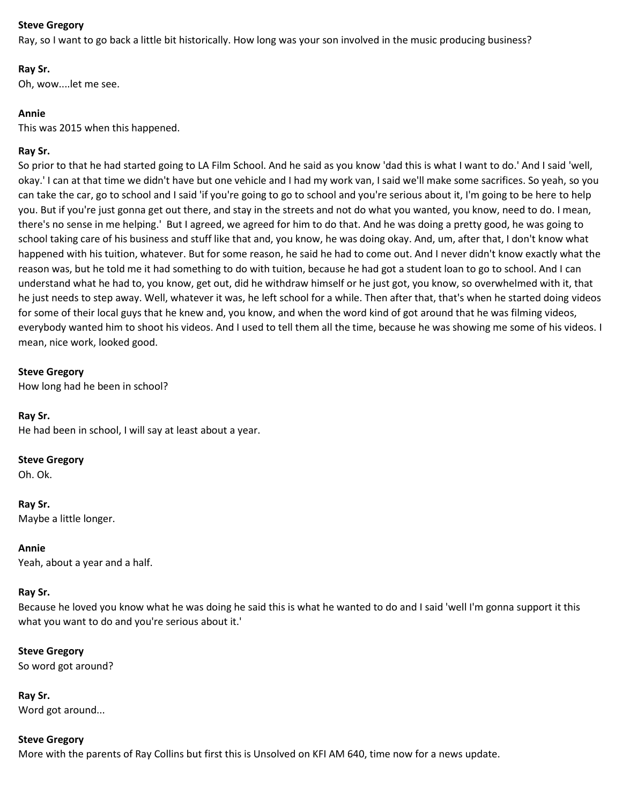Ray, so I want to go back a little bit historically. How long was your son involved in the music producing business?

## **Ray Sr.**

Oh, wow....let me see.

## **Annie**

This was 2015 when this happened.

## **Ray Sr.**

So prior to that he had started going to LA Film School. And he said as you know 'dad this is what I want to do.' And I said 'well, okay.' I can at that time we didn't have but one vehicle and I had my work van, I said we'll make some sacrifices. So yeah, so you can take the car, go to school and I said 'if you're going to go to school and you're serious about it, I'm going to be here to help you. But if you're just gonna get out there, and stay in the streets and not do what you wanted, you know, need to do. I mean, there's no sense in me helping.' But I agreed, we agreed for him to do that. And he was doing a pretty good, he was going to school taking care of his business and stuff like that and, you know, he was doing okay. And, um, after that, I don't know what happened with his tuition, whatever. But for some reason, he said he had to come out. And I never didn't know exactly what the reason was, but he told me it had something to do with tuition, because he had got a student loan to go to school. And I can understand what he had to, you know, get out, did he withdraw himself or he just got, you know, so overwhelmed with it, that he just needs to step away. Well, whatever it was, he left school for a while. Then after that, that's when he started doing videos for some of their local guys that he knew and, you know, and when the word kind of got around that he was filming videos, everybody wanted him to shoot his videos. And I used to tell them all the time, because he was showing me some of his videos. I mean, nice work, looked good.

#### **Steve Gregory**

How long had he been in school?

#### **Ray Sr.**

He had been in school, I will say at least about a year.

#### **Steve Gregory**

Oh. Ok.

**Ray Sr.** Maybe a little longer.

**Annie** Yeah, about a year and a half.

#### **Ray Sr.**

Because he loved you know what he was doing he said this is what he wanted to do and I said 'well I'm gonna support it this what you want to do and you're serious about it.'

#### **Steve Gregory**

So word got around?

**Ray Sr.** Word got around...

#### **Steve Gregory**

More with the parents of Ray Collins but first this is Unsolved on KFI AM 640, time now for a news update.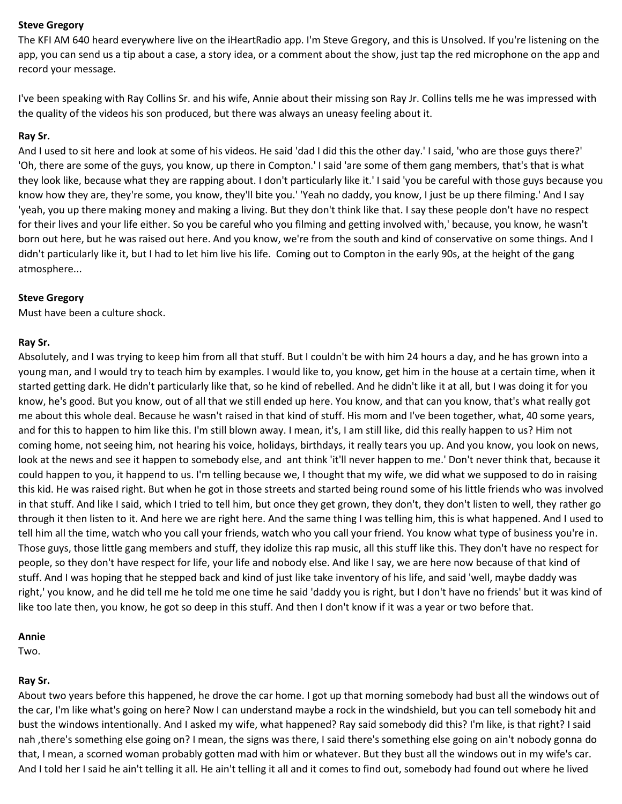The KFI AM 640 heard everywhere live on the iHeartRadio app. I'm Steve Gregory, and this is Unsolved. If you're listening on the app, you can send us a tip about a case, a story idea, or a comment about the show, just tap the red microphone on the app and record your message.

I've been speaking with Ray Collins Sr. and his wife, Annie about their missing son Ray Jr. Collins tells me he was impressed with the quality of the videos his son produced, but there was always an uneasy feeling about it.

#### **Ray Sr.**

And I used to sit here and look at some of his videos. He said 'dad I did this the other day.' I said, 'who are those guys there?' 'Oh, there are some of the guys, you know, up there in Compton.' I said 'are some of them gang members, that's that is what they look like, because what they are rapping about. I don't particularly like it.' I said 'you be careful with those guys because you know how they are, they're some, you know, they'll bite you.' 'Yeah no daddy, you know, I just be up there filming.' And I say 'yeah, you up there making money and making a living. But they don't think like that. I say these people don't have no respect for their lives and your life either. So you be careful who you filming and getting involved with,' because, you know, he wasn't born out here, but he was raised out here. And you know, we're from the south and kind of conservative on some things. And I didn't particularly like it, but I had to let him live his life. Coming out to Compton in the early 90s, at the height of the gang atmosphere...

#### **Steve Gregory**

Must have been a culture shock.

#### **Ray Sr.**

Absolutely, and I was trying to keep him from all that stuff. But I couldn't be with him 24 hours a day, and he has grown into a young man, and I would try to teach him by examples. I would like to, you know, get him in the house at a certain time, when it started getting dark. He didn't particularly like that, so he kind of rebelled. And he didn't like it at all, but I was doing it for you know, he's good. But you know, out of all that we still ended up here. You know, and that can you know, that's what really got me about this whole deal. Because he wasn't raised in that kind of stuff. His mom and I've been together, what, 40 some years, and for this to happen to him like this. I'm still blown away. I mean, it's, I am still like, did this really happen to us? Him not coming home, not seeing him, not hearing his voice, holidays, birthdays, it really tears you up. And you know, you look on news, look at the news and see it happen to somebody else, and ant think 'it'll never happen to me.' Don't never think that, because it could happen to you, it happend to us. I'm telling because we, I thought that my wife, we did what we supposed to do in raising this kid. He was raised right. But when he got in those streets and started being round some of his little friends who was involved in that stuff. And like I said, which I tried to tell him, but once they get grown, they don't, they don't listen to well, they rather go through it then listen to it. And here we are right here. And the same thing I was telling him, this is what happened. And I used to tell him all the time, watch who you call your friends, watch who you call your friend. You know what type of business you're in. Those guys, those little gang members and stuff, they idolize this rap music, all this stuff like this. They don't have no respect for people, so they don't have respect for life, your life and nobody else. And like I say, we are here now because of that kind of stuff. And I was hoping that he stepped back and kind of just like take inventory of his life, and said 'well, maybe daddy was right,' you know, and he did tell me he told me one time he said 'daddy you is right, but I don't have no friends' but it was kind of like too late then, you know, he got so deep in this stuff. And then I don't know if it was a year or two before that.

#### **Annie**

Two.

## **Ray Sr.**

About two years before this happened, he drove the car home. I got up that morning somebody had bust all the windows out of the car, I'm like what's going on here? Now I can understand maybe a rock in the windshield, but you can tell somebody hit and bust the windows intentionally. And I asked my wife, what happened? Ray said somebody did this? I'm like, is that right? I said nah ,there's something else going on? I mean, the signs was there, I said there's something else going on ain't nobody gonna do that, I mean, a scorned woman probably gotten mad with him or whatever. But they bust all the windows out in my wife's car. And I told her I said he ain't telling it all. He ain't telling it all and it comes to find out, somebody had found out where he lived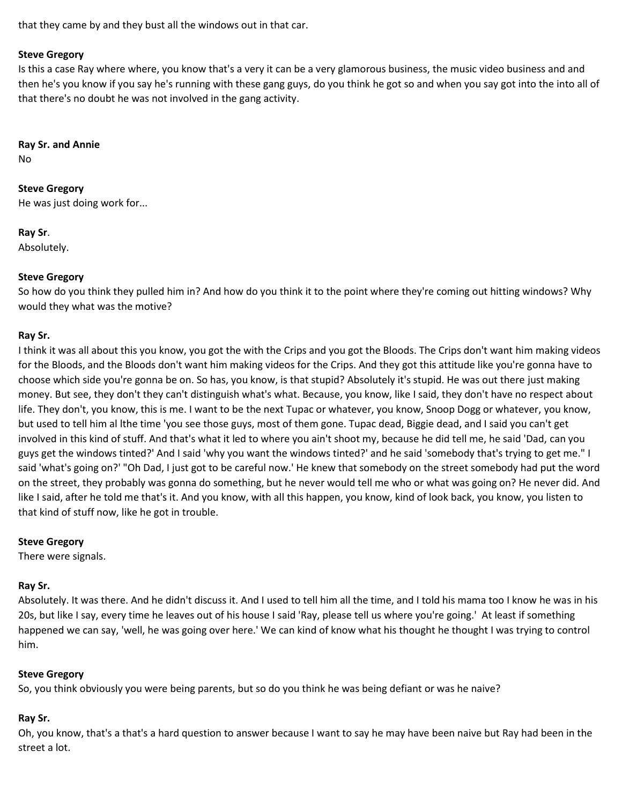that they came by and they bust all the windows out in that car.

#### **Steve Gregory**

Is this a case Ray where where, you know that's a very it can be a very glamorous business, the music video business and and then he's you know if you say he's running with these gang guys, do you think he got so and when you say got into the into all of that there's no doubt he was not involved in the gang activity.

#### **Ray Sr. and Annie**

No

# **Steve Gregory**

He was just doing work for...

## **Ray Sr**.

Absolutely.

## **Steve Gregory**

So how do you think they pulled him in? And how do you think it to the point where they're coming out hitting windows? Why would they what was the motive?

## **Ray Sr.**

I think it was all about this you know, you got the with the Crips and you got the Bloods. The Crips don't want him making videos for the Bloods, and the Bloods don't want him making videos for the Crips. And they got this attitude like you're gonna have to choose which side you're gonna be on. So has, you know, is that stupid? Absolutely it's stupid. He was out there just making money. But see, they don't they can't distinguish what's what. Because, you know, like I said, they don't have no respect about life. They don't, you know, this is me. I want to be the next Tupac or whatever, you know, Snoop Dogg or whatever, you know, but used to tell him al lthe time 'you see those guys, most of them gone. Tupac dead, Biggie dead, and I said you can't get involved in this kind of stuff. And that's what it led to where you ain't shoot my, because he did tell me, he said 'Dad, can you guys get the windows tinted?' And I said 'why you want the windows tinted?' and he said 'somebody that's trying to get me." I said 'what's going on?' "Oh Dad, I just got to be careful now.' He knew that somebody on the street somebody had put the word on the street, they probably was gonna do something, but he never would tell me who or what was going on? He never did. And like I said, after he told me that's it. And you know, with all this happen, you know, kind of look back, you know, you listen to that kind of stuff now, like he got in trouble.

#### **Steve Gregory**

There were signals.

## **Ray Sr.**

Absolutely. It was there. And he didn't discuss it. And I used to tell him all the time, and I told his mama too I know he was in his 20s, but like I say, every time he leaves out of his house I said 'Ray, please tell us where you're going.' At least if something happened we can say, 'well, he was going over here.' We can kind of know what his thought he thought I was trying to control him.

## **Steve Gregory**

So, you think obviously you were being parents, but so do you think he was being defiant or was he naive?

## **Ray Sr.**

Oh, you know, that's a that's a hard question to answer because I want to say he may have been naive but Ray had been in the street a lot.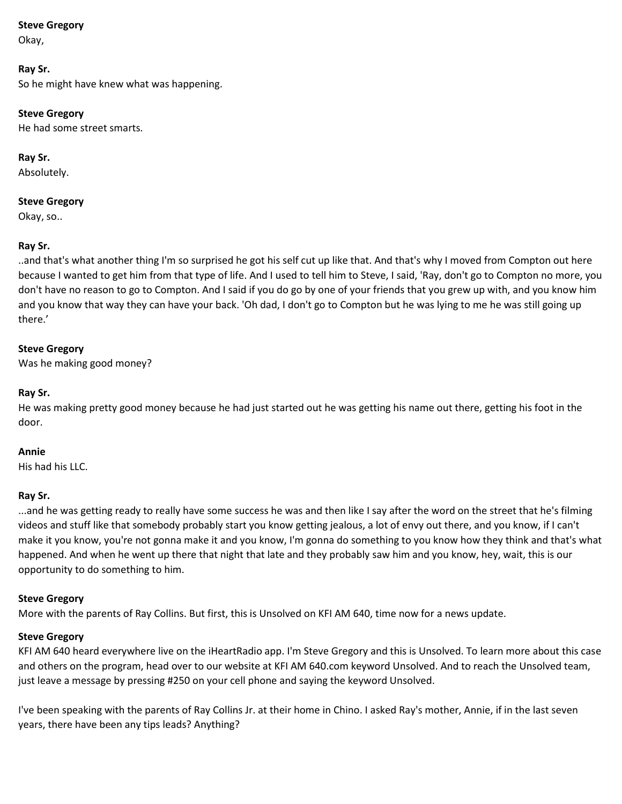Okay,

## **Ray Sr.**

So he might have knew what was happening.

## **Steve Gregory**

He had some street smarts.

## **Ray Sr.**

Absolutely.

## **Steve Gregory**

Okay, so..

## **Ray Sr.**

..and that's what another thing I'm so surprised he got his self cut up like that. And that's why I moved from Compton out here because I wanted to get him from that type of life. And I used to tell him to Steve, I said, 'Ray, don't go to Compton no more, you don't have no reason to go to Compton. And I said if you do go by one of your friends that you grew up with, and you know him and you know that way they can have your back. 'Oh dad, I don't go to Compton but he was lying to me he was still going up there.'

## **Steve Gregory**

Was he making good money?

## **Ray Sr.**

He was making pretty good money because he had just started out he was getting his name out there, getting his foot in the door.

## **Annie**

His had his LLC.

## **Ray Sr.**

...and he was getting ready to really have some success he was and then like I say after the word on the street that he's filming videos and stuff like that somebody probably start you know getting jealous, a lot of envy out there, and you know, if I can't make it you know, you're not gonna make it and you know, I'm gonna do something to you know how they think and that's what happened. And when he went up there that night that late and they probably saw him and you know, hey, wait, this is our opportunity to do something to him.

## **Steve Gregory**

More with the parents of Ray Collins. But first, this is Unsolved on KFI AM 640, time now for a news update.

## **Steve Gregory**

KFI AM 640 heard everywhere live on the iHeartRadio app. I'm Steve Gregory and this is Unsolved. To learn more about this case and others on the program, head over to our website at KFI AM 640.com keyword Unsolved. And to reach the Unsolved team, just leave a message by pressing #250 on your cell phone and saying the keyword Unsolved.

I've been speaking with the parents of Ray Collins Jr. at their home in Chino. I asked Ray's mother, Annie, if in the last seven years, there have been any tips leads? Anything?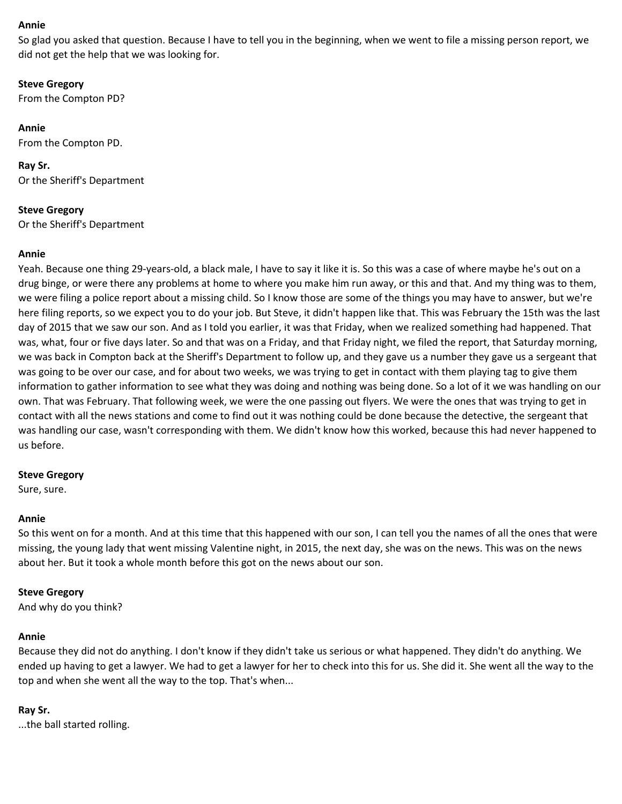#### **Annie**

So glad you asked that question. Because I have to tell you in the beginning, when we went to file a missing person report, we did not get the help that we was looking for.

**Steve Gregory** From the Compton PD?

**Annie** From the Compton PD.

**Ray Sr.** Or the Sheriff's Department

**Steve Gregory** Or the Sheriff's Department

#### **Annie**

Yeah. Because one thing 29-years-old, a black male, I have to say it like it is. So this was a case of where maybe he's out on a drug binge, or were there any problems at home to where you make him run away, or this and that. And my thing was to them, we were filing a police report about a missing child. So I know those are some of the things you may have to answer, but we're here filing reports, so we expect you to do your job. But Steve, it didn't happen like that. This was February the 15th was the last day of 2015 that we saw our son. And as I told you earlier, it was that Friday, when we realized something had happened. That was, what, four or five days later. So and that was on a Friday, and that Friday night, we filed the report, that Saturday morning, we was back in Compton back at the Sheriff's Department to follow up, and they gave us a number they gave us a sergeant that was going to be over our case, and for about two weeks, we was trying to get in contact with them playing tag to give them information to gather information to see what they was doing and nothing was being done. So a lot of it we was handling on our own. That was February. That following week, we were the one passing out flyers. We were the ones that was trying to get in contact with all the news stations and come to find out it was nothing could be done because the detective, the sergeant that was handling our case, wasn't corresponding with them. We didn't know how this worked, because this had never happened to us before.

#### **Steve Gregory**

Sure, sure.

#### **Annie**

So this went on for a month. And at this time that this happened with our son, I can tell you the names of all the ones that were missing, the young lady that went missing Valentine night, in 2015, the next day, she was on the news. This was on the news about her. But it took a whole month before this got on the news about our son.

#### **Steve Gregory**

And why do you think?

#### **Annie**

Because they did not do anything. I don't know if they didn't take us serious or what happened. They didn't do anything. We ended up having to get a lawyer. We had to get a lawyer for her to check into this for us. She did it. She went all the way to the top and when she went all the way to the top. That's when...

#### **Ray Sr.**

...the ball started rolling.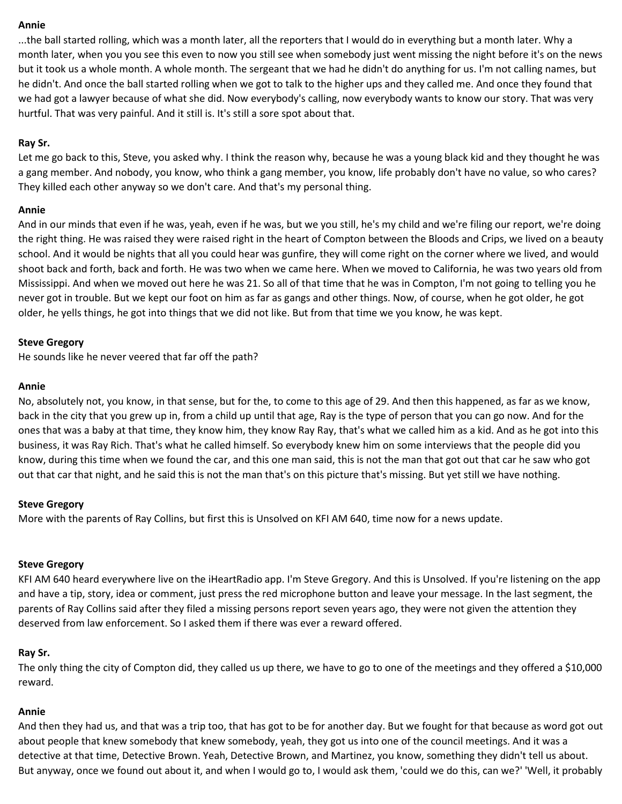#### **Annie**

...the ball started rolling, which was a month later, all the reporters that I would do in everything but a month later. Why a month later, when you you see this even to now you still see when somebody just went missing the night before it's on the news but it took us a whole month. A whole month. The sergeant that we had he didn't do anything for us. I'm not calling names, but he didn't. And once the ball started rolling when we got to talk to the higher ups and they called me. And once they found that we had got a lawyer because of what she did. Now everybody's calling, now everybody wants to know our story. That was very hurtful. That was very painful. And it still is. It's still a sore spot about that.

#### **Ray Sr.**

Let me go back to this, Steve, you asked why. I think the reason why, because he was a young black kid and they thought he was a gang member. And nobody, you know, who think a gang member, you know, life probably don't have no value, so who cares? They killed each other anyway so we don't care. And that's my personal thing.

#### **Annie**

And in our minds that even if he was, yeah, even if he was, but we you still, he's my child and we're filing our report, we're doing the right thing. He was raised they were raised right in the heart of Compton between the Bloods and Crips, we lived on a beauty school. And it would be nights that all you could hear was gunfire, they will come right on the corner where we lived, and would shoot back and forth, back and forth. He was two when we came here. When we moved to California, he was two years old from Mississippi. And when we moved out here he was 21. So all of that time that he was in Compton, I'm not going to telling you he never got in trouble. But we kept our foot on him as far as gangs and other things. Now, of course, when he got older, he got older, he yells things, he got into things that we did not like. But from that time we you know, he was kept.

#### **Steve Gregory**

He sounds like he never veered that far off the path?

#### **Annie**

No, absolutely not, you know, in that sense, but for the, to come to this age of 29. And then this happened, as far as we know, back in the city that you grew up in, from a child up until that age, Ray is the type of person that you can go now. And for the ones that was a baby at that time, they know him, they know Ray Ray, that's what we called him as a kid. And as he got into this business, it was Ray Rich. That's what he called himself. So everybody knew him on some interviews that the people did you know, during this time when we found the car, and this one man said, this is not the man that got out that car he saw who got out that car that night, and he said this is not the man that's on this picture that's missing. But yet still we have nothing.

#### **Steve Gregory**

More with the parents of Ray Collins, but first this is Unsolved on KFI AM 640, time now for a news update.

#### **Steve Gregory**

KFI AM 640 heard everywhere live on the iHeartRadio app. I'm Steve Gregory. And this is Unsolved. If you're listening on the app and have a tip, story, idea or comment, just press the red microphone button and leave your message. In the last segment, the parents of Ray Collins said after they filed a missing persons report seven years ago, they were not given the attention they deserved from law enforcement. So I asked them if there was ever a reward offered.

#### **Ray Sr.**

The only thing the city of Compton did, they called us up there, we have to go to one of the meetings and they offered a \$10,000 reward.

#### **Annie**

And then they had us, and that was a trip too, that has got to be for another day. But we fought for that because as word got out about people that knew somebody that knew somebody, yeah, they got us into one of the council meetings. And it was a detective at that time, Detective Brown. Yeah, Detective Brown, and Martinez, you know, something they didn't tell us about. But anyway, once we found out about it, and when I would go to, I would ask them, 'could we do this, can we?' 'Well, it probably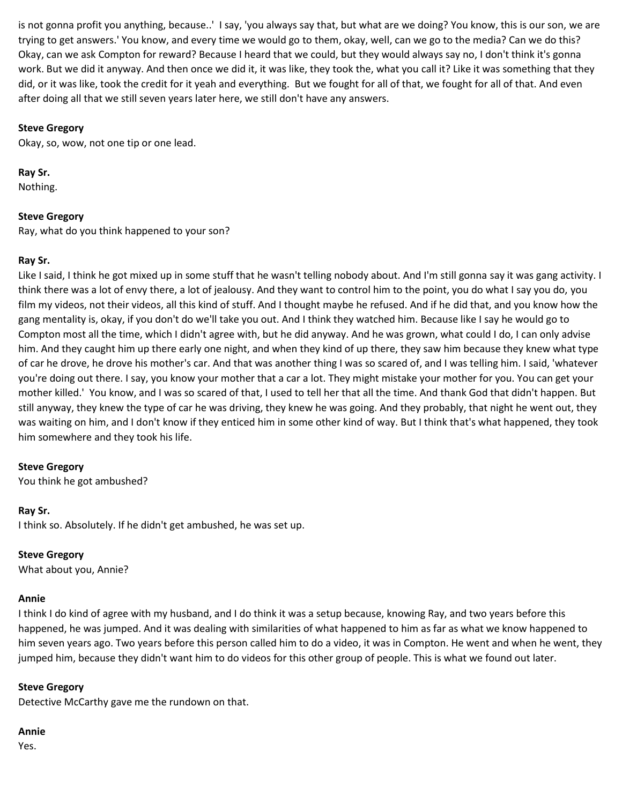is not gonna profit you anything, because..' I say, 'you always say that, but what are we doing? You know, this is our son, we are trying to get answers.' You know, and every time we would go to them, okay, well, can we go to the media? Can we do this? Okay, can we ask Compton for reward? Because I heard that we could, but they would always say no, I don't think it's gonna work. But we did it anyway. And then once we did it, it was like, they took the, what you call it? Like it was something that they did, or it was like, took the credit for it yeah and everything. But we fought for all of that, we fought for all of that. And even after doing all that we still seven years later here, we still don't have any answers.

## **Steve Gregory**

Okay, so, wow, not one tip or one lead.

**Ray Sr.**

Nothing.

## **Steve Gregory**

Ray, what do you think happened to your son?

## **Ray Sr.**

Like I said, I think he got mixed up in some stuff that he wasn't telling nobody about. And I'm still gonna say it was gang activity. I think there was a lot of envy there, a lot of jealousy. And they want to control him to the point, you do what I say you do, you film my videos, not their videos, all this kind of stuff. And I thought maybe he refused. And if he did that, and you know how the gang mentality is, okay, if you don't do we'll take you out. And I think they watched him. Because like I say he would go to Compton most all the time, which I didn't agree with, but he did anyway. And he was grown, what could I do, I can only advise him. And they caught him up there early one night, and when they kind of up there, they saw him because they knew what type of car he drove, he drove his mother's car. And that was another thing I was so scared of, and I was telling him. I said, 'whatever you're doing out there. I say, you know your mother that a car a lot. They might mistake your mother for you. You can get your mother killed.' You know, and I was so scared of that, I used to tell her that all the time. And thank God that didn't happen. But still anyway, they knew the type of car he was driving, they knew he was going. And they probably, that night he went out, they was waiting on him, and I don't know if they enticed him in some other kind of way. But I think that's what happened, they took him somewhere and they took his life.

#### **Steve Gregory**

You think he got ambushed?

#### **Ray Sr.**

I think so. Absolutely. If he didn't get ambushed, he was set up.

#### **Steve Gregory**

What about you, Annie?

#### **Annie**

I think I do kind of agree with my husband, and I do think it was a setup because, knowing Ray, and two years before this happened, he was jumped. And it was dealing with similarities of what happened to him as far as what we know happened to him seven years ago. Two years before this person called him to do a video, it was in Compton. He went and when he went, they jumped him, because they didn't want him to do videos for this other group of people. This is what we found out later.

## **Steve Gregory**

Detective McCarthy gave me the rundown on that.

#### **Annie**

Yes.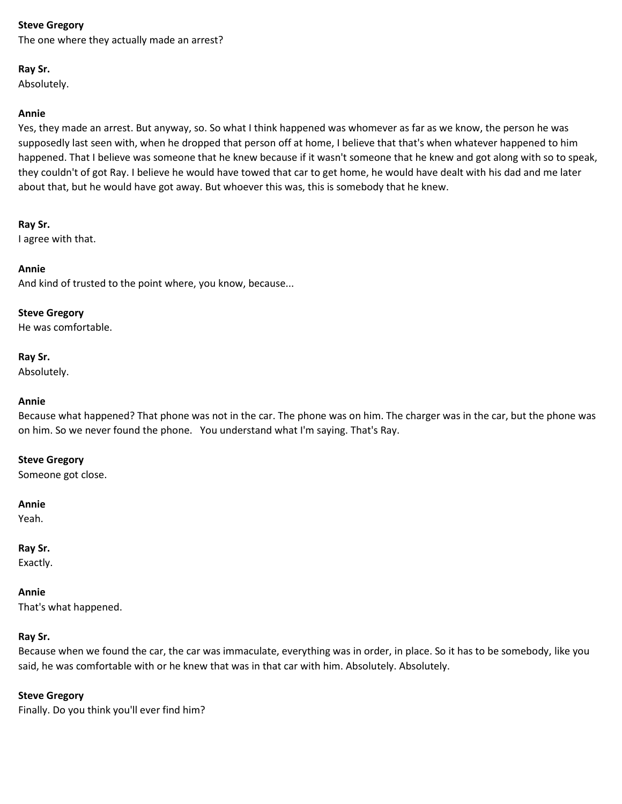The one where they actually made an arrest?

## **Ray Sr.**

Absolutely.

## **Annie**

Yes, they made an arrest. But anyway, so. So what I think happened was whomever as far as we know, the person he was supposedly last seen with, when he dropped that person off at home, I believe that that's when whatever happened to him happened. That I believe was someone that he knew because if it wasn't someone that he knew and got along with so to speak, they couldn't of got Ray. I believe he would have towed that car to get home, he would have dealt with his dad and me later about that, but he would have got away. But whoever this was, this is somebody that he knew.

## **Ray Sr.**

I agree with that.

## **Annie**

And kind of trusted to the point where, you know, because...

#### **Steve Gregory**

He was comfortable.

## **Ray Sr.**

Absolutely.

## **Annie**

Because what happened? That phone was not in the car. The phone was on him. The charger was in the car, but the phone was on him. So we never found the phone. You understand what I'm saying. That's Ray.

#### **Steve Gregory**

Someone got close.

#### **Annie**

Yeah.

## **Ray Sr.**

Exactly.

#### **Annie**

That's what happened.

## **Ray Sr.**

Because when we found the car, the car was immaculate, everything was in order, in place. So it has to be somebody, like you said, he was comfortable with or he knew that was in that car with him. Absolutely. Absolutely.

#### **Steve Gregory**

Finally. Do you think you'll ever find him?